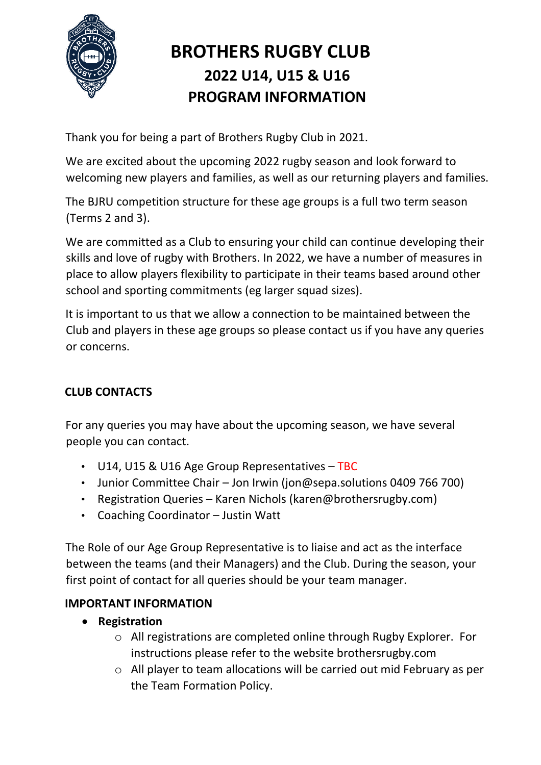

# **BROTHERS RUGBY CLUB 2022 U14, U15 & U16 PROGRAM INFORMATION**

Thank you for being a part of Brothers Rugby Club in 2021.

We are excited about the upcoming 2022 rugby season and look forward to welcoming new players and families, as well as our returning players and families.

The BJRU competition structure for these age groups is a full two term season (Terms 2 and 3).

We are committed as a Club to ensuring your child can continue developing their skills and love of rugby with Brothers. In 2022, we have a number of measures in place to allow players flexibility to participate in their teams based around other school and sporting commitments (eg larger squad sizes).

It is important to us that we allow a connection to be maintained between the Club and players in these age groups so please contact us if you have any queries or concerns.

## **CLUB CONTACTS**

For any queries you may have about the upcoming season, we have several people you can contact.

- U14, U15 & U16 Age Group Representatives TBC
- Junior Committee Chair Jon Irwin (jon@sepa.solutions 0409 766 700)
- Registration Queries Karen Nichols (karen@brothersrugby.com)
- Coaching Coordinator Justin Watt

The Role of our Age Group Representative is to liaise and act as the interface between the teams (and their Managers) and the Club. During the season, your first point of contact for all queries should be your team manager.

### **IMPORTANT INFORMATION**

- **Registration**
	- o All registrations are completed online through Rugby Explorer. For instructions please refer to the website brothersrugby.com
	- o All player to team allocations will be carried out mid February as per the Team Formation Policy.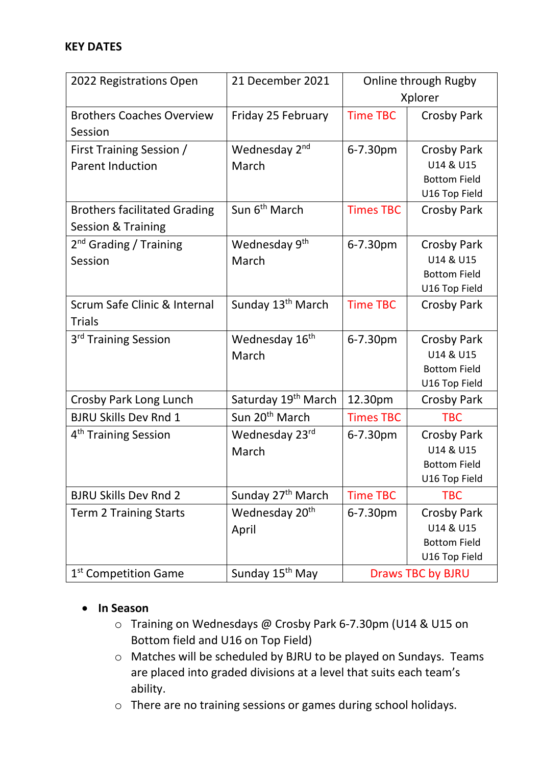#### **KEY DATES**

| 2022 Registrations Open             | 21 December 2021                | Online through Rugby     |                     |
|-------------------------------------|---------------------------------|--------------------------|---------------------|
|                                     |                                 | Xplorer                  |                     |
| <b>Brothers Coaches Overview</b>    | Friday 25 February              | <b>Time TBC</b>          | <b>Crosby Park</b>  |
| Session                             |                                 |                          |                     |
| First Training Session /            | Wednesday 2 <sup>nd</sup>       | 6-7.30pm                 | Crosby Park         |
| <b>Parent Induction</b>             | March                           |                          | U14 & U15           |
|                                     |                                 |                          | <b>Bottom Field</b> |
|                                     |                                 |                          | U16 Top Field       |
| <b>Brothers facilitated Grading</b> | Sun 6 <sup>th</sup> March       | <b>Times TBC</b>         | <b>Crosby Park</b>  |
| <b>Session &amp; Training</b>       |                                 |                          |                     |
| 2 <sup>nd</sup> Grading / Training  | Wednesday 9 <sup>th</sup>       | 6-7.30pm                 | <b>Crosby Park</b>  |
| Session                             | March                           |                          | U14 & U15           |
|                                     |                                 |                          | <b>Bottom Field</b> |
|                                     |                                 |                          | U16 Top Field       |
| Scrum Safe Clinic & Internal        | Sunday 13 <sup>th</sup> March   | <b>Time TBC</b>          | <b>Crosby Park</b>  |
| <b>Trials</b>                       |                                 |                          |                     |
| 3 <sup>rd</sup> Training Session    | Wednesday 16 <sup>th</sup>      | 6-7.30pm                 | <b>Crosby Park</b>  |
|                                     | March                           |                          | U14 & U15           |
|                                     |                                 |                          | <b>Bottom Field</b> |
|                                     |                                 |                          | U16 Top Field       |
| Crosby Park Long Lunch              | Saturday 19 <sup>th</sup> March | 12.30pm                  | <b>Crosby Park</b>  |
| <b>BJRU Skills Dev Rnd 1</b>        | Sun 20 <sup>th</sup> March      | <b>Times TBC</b>         | <b>TBC</b>          |
| 4 <sup>th</sup> Training Session    | Wednesday 23rd                  | 6-7.30pm                 | Crosby Park         |
|                                     | March                           |                          | U14 & U15           |
|                                     |                                 |                          | <b>Bottom Field</b> |
|                                     |                                 |                          | U16 Top Field       |
| <b>BJRU Skills Dev Rnd 2</b>        | Sunday 27 <sup>th</sup> March   | <b>Time TBC</b>          | <b>TBC</b>          |
| <b>Term 2 Training Starts</b>       | Wednesday 20 <sup>th</sup>      | 6-7.30pm                 | <b>Crosby Park</b>  |
|                                     | April                           |                          | U14 & U15           |
|                                     |                                 |                          | <b>Bottom Field</b> |
|                                     |                                 |                          | U16 Top Field       |
| 1 <sup>st</sup> Competition Game    | Sunday 15 <sup>th</sup> May     | <b>Draws TBC by BJRU</b> |                     |

#### • **In Season**

- o Training on Wednesdays @ Crosby Park 6-7.30pm (U14 & U15 on Bottom field and U16 on Top Field)
- o Matches will be scheduled by BJRU to be played on Sundays. Teams are placed into graded divisions at a level that suits each team's ability.
- o There are no training sessions or games during school holidays.